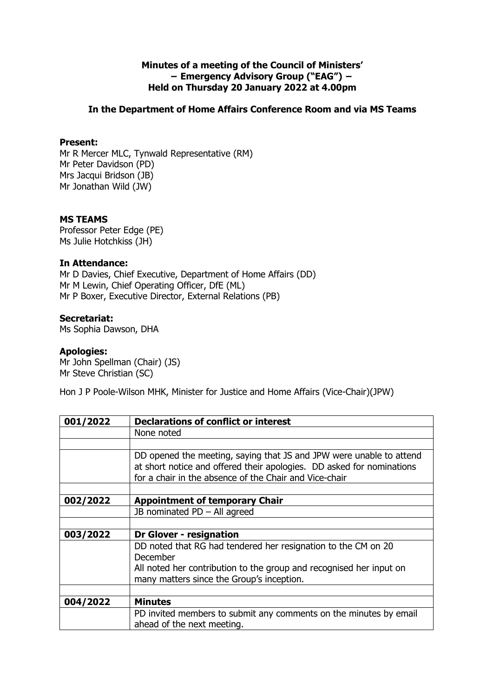## **Minutes of a meeting of the Council of Ministers' − Emergency Advisory Group ("EAG") − Held on Thursday 20 January 2022 at 4.00pm**

## **In the Department of Home Affairs Conference Room and via MS Teams**

### **Present:**

Mr R Mercer MLC, Tynwald Representative (RM) Mr Peter Davidson (PD) Mrs Jacqui Bridson (JB) Mr Jonathan Wild (JW)

## **MS TEAMS**

Professor Peter Edge (PE) Ms Julie Hotchkiss (JH)

### **In Attendance:**

Mr D Davies, Chief Executive, Department of Home Affairs (DD) Mr M Lewin, Chief Operating Officer, DfE (ML) Mr P Boxer, Executive Director, External Relations (PB)

# **Secretariat:**

Ms Sophia Dawson, DHA

### **Apologies:**

Mr John Spellman (Chair) (JS) Mr Steve Christian (SC)

Hon J P Poole-Wilson MHK, Minister for Justice and Home Affairs (Vice-Chair)(JPW)

| <b>Declarations of conflict or interest</b>                                                                                                                                                            |
|--------------------------------------------------------------------------------------------------------------------------------------------------------------------------------------------------------|
| None noted                                                                                                                                                                                             |
|                                                                                                                                                                                                        |
| DD opened the meeting, saying that JS and JPW were unable to attend<br>at short notice and offered their apologies. DD asked for nominations<br>for a chair in the absence of the Chair and Vice-chair |
|                                                                                                                                                                                                        |
| <b>Appointment of temporary Chair</b>                                                                                                                                                                  |
| JB nominated $PD - All$ agreed                                                                                                                                                                         |
|                                                                                                                                                                                                        |
| <b>Dr Glover - resignation</b>                                                                                                                                                                         |
| DD noted that RG had tendered her resignation to the CM on 20<br>December                                                                                                                              |
| All noted her contribution to the group and recognised her input on                                                                                                                                    |
| many matters since the Group's inception.                                                                                                                                                              |
|                                                                                                                                                                                                        |
| <b>Minutes</b>                                                                                                                                                                                         |
| PD invited members to submit any comments on the minutes by email<br>ahead of the next meeting.                                                                                                        |
|                                                                                                                                                                                                        |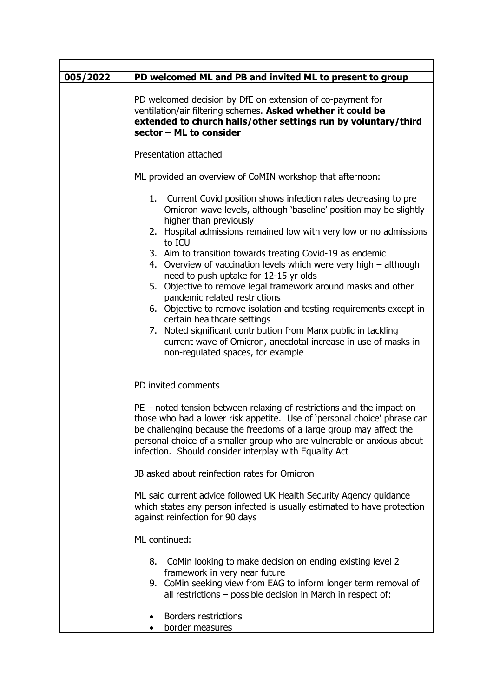| 005/2022 | PD welcomed ML and PB and invited ML to present to group                                                                                                                                                                                                                                                                                                       |
|----------|----------------------------------------------------------------------------------------------------------------------------------------------------------------------------------------------------------------------------------------------------------------------------------------------------------------------------------------------------------------|
|          | PD welcomed decision by DfE on extension of co-payment for<br>ventilation/air filtering schemes. Asked whether it could be<br>extended to church halls/other settings run by voluntary/third<br>sector - ML to consider                                                                                                                                        |
|          | Presentation attached                                                                                                                                                                                                                                                                                                                                          |
|          | ML provided an overview of CoMIN workshop that afternoon:                                                                                                                                                                                                                                                                                                      |
|          | 1. Current Covid position shows infection rates decreasing to pre<br>Omicron wave levels, although 'baseline' position may be slightly<br>higher than previously                                                                                                                                                                                               |
|          | 2. Hospital admissions remained low with very low or no admissions<br>to ICU<br>3. Aim to transition towards treating Covid-19 as endemic<br>4. Overview of vaccination levels which were very high - although<br>need to push uptake for 12-15 yr olds                                                                                                        |
|          | 5. Objective to remove legal framework around masks and other<br>pandemic related restrictions                                                                                                                                                                                                                                                                 |
|          | 6. Objective to remove isolation and testing requirements except in<br>certain healthcare settings                                                                                                                                                                                                                                                             |
|          | 7. Noted significant contribution from Manx public in tackling<br>current wave of Omicron, anecdotal increase in use of masks in<br>non-regulated spaces, for example                                                                                                                                                                                          |
|          | PD invited comments                                                                                                                                                                                                                                                                                                                                            |
|          | $PE$ – noted tension between relaxing of restrictions and the impact on<br>those who had a lower risk appetite. Use of 'personal choice' phrase can<br>be challenging because the freedoms of a large group may affect the<br>personal choice of a smaller group who are vulnerable or anxious about<br>infection. Should consider interplay with Equality Act |
|          | JB asked about reinfection rates for Omicron                                                                                                                                                                                                                                                                                                                   |
|          | ML said current advice followed UK Health Security Agency guidance<br>which states any person infected is usually estimated to have protection<br>against reinfection for 90 days                                                                                                                                                                              |
|          | ML continued:                                                                                                                                                                                                                                                                                                                                                  |
|          | CoMin looking to make decision on ending existing level 2<br>8.<br>framework in very near future                                                                                                                                                                                                                                                               |
|          | 9. CoMin seeking view from EAG to inform longer term removal of<br>all restrictions - possible decision in March in respect of:                                                                                                                                                                                                                                |
|          | <b>Borders restrictions</b><br>border measures                                                                                                                                                                                                                                                                                                                 |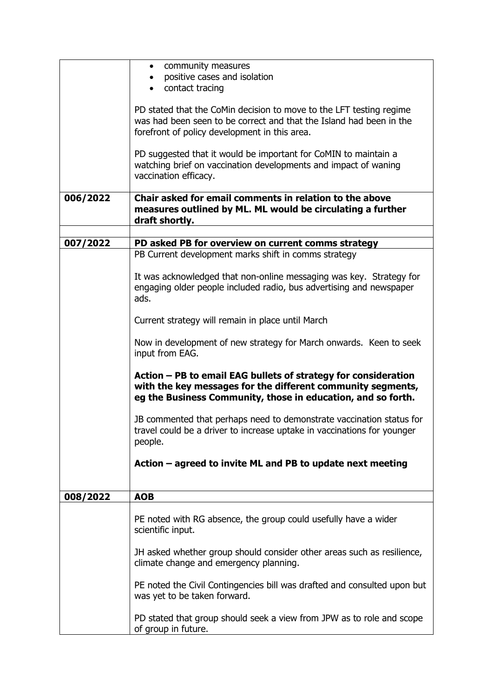|          | community measures<br>$\bullet$<br>positive cases and isolation<br>contact tracing                                                                                                            |
|----------|-----------------------------------------------------------------------------------------------------------------------------------------------------------------------------------------------|
|          | PD stated that the CoMin decision to move to the LFT testing regime<br>was had been seen to be correct and that the Island had been in the<br>forefront of policy development in this area.   |
|          | PD suggested that it would be important for CoMIN to maintain a<br>watching brief on vaccination developments and impact of waning<br>vaccination efficacy.                                   |
| 006/2022 | Chair asked for email comments in relation to the above<br>measures outlined by ML. ML would be circulating a further<br>draft shortly.                                                       |
| 007/2022 | PD asked PB for overview on current comms strategy                                                                                                                                            |
|          | PB Current development marks shift in comms strategy                                                                                                                                          |
|          |                                                                                                                                                                                               |
|          | It was acknowledged that non-online messaging was key. Strategy for<br>engaging older people included radio, bus advertising and newspaper<br>ads.                                            |
|          | Current strategy will remain in place until March                                                                                                                                             |
|          | Now in development of new strategy for March onwards. Keen to seek<br>input from EAG.                                                                                                         |
|          | Action – PB to email EAG bullets of strategy for consideration<br>with the key messages for the different community segments,<br>eg the Business Community, those in education, and so forth. |
|          | JB commented that perhaps need to demonstrate vaccination status for<br>travel could be a driver to increase uptake in vaccinations for younger<br>people.                                    |
|          | Action – agreed to invite ML and PB to update next meeting                                                                                                                                    |
|          |                                                                                                                                                                                               |
| 008/2022 | <b>AOB</b>                                                                                                                                                                                    |
|          | PE noted with RG absence, the group could usefully have a wider<br>scientific input.                                                                                                          |
|          | JH asked whether group should consider other areas such as resilience,<br>climate change and emergency planning.                                                                              |
|          | PE noted the Civil Contingencies bill was drafted and consulted upon but<br>was yet to be taken forward.                                                                                      |
|          | PD stated that group should seek a view from JPW as to role and scope<br>of group in future.                                                                                                  |